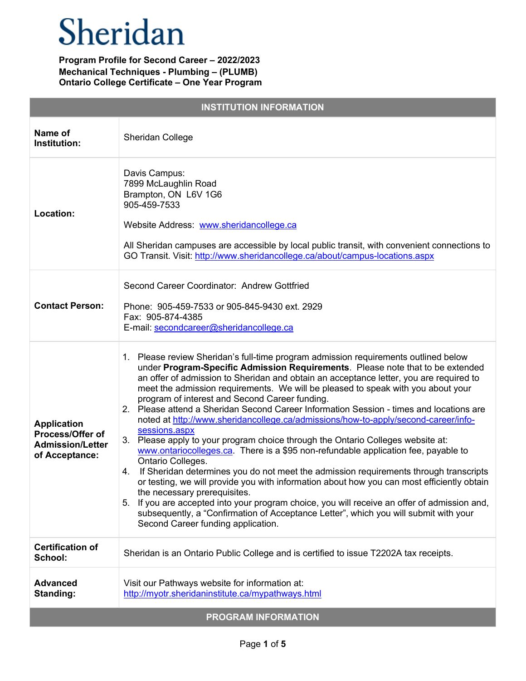| <b>INSTITUTION INFORMATION</b>                                                             |                                                                                                                                                                                                                                                                                                                                                                                                                                                                                                                                                                                                                                                                                                                                                                                                                                                                                                                                                                                                                                                                                                                                                                                                                                                               |  |
|--------------------------------------------------------------------------------------------|---------------------------------------------------------------------------------------------------------------------------------------------------------------------------------------------------------------------------------------------------------------------------------------------------------------------------------------------------------------------------------------------------------------------------------------------------------------------------------------------------------------------------------------------------------------------------------------------------------------------------------------------------------------------------------------------------------------------------------------------------------------------------------------------------------------------------------------------------------------------------------------------------------------------------------------------------------------------------------------------------------------------------------------------------------------------------------------------------------------------------------------------------------------------------------------------------------------------------------------------------------------|--|
| Name of<br>Institution:                                                                    | Sheridan College                                                                                                                                                                                                                                                                                                                                                                                                                                                                                                                                                                                                                                                                                                                                                                                                                                                                                                                                                                                                                                                                                                                                                                                                                                              |  |
| Location:                                                                                  | Davis Campus:<br>7899 McLaughlin Road<br>Brampton, ON L6V 1G6<br>905-459-7533<br>Website Address: www.sheridancollege.ca<br>All Sheridan campuses are accessible by local public transit, with convenient connections to<br>GO Transit. Visit: http://www.sheridancollege.ca/about/campus-locations.aspx                                                                                                                                                                                                                                                                                                                                                                                                                                                                                                                                                                                                                                                                                                                                                                                                                                                                                                                                                      |  |
| <b>Contact Person:</b>                                                                     | Second Career Coordinator: Andrew Gottfried<br>Phone: 905-459-7533 or 905-845-9430 ext. 2929<br>Fax: 905-874-4385<br>E-mail: secondcareer@sheridancollege.ca                                                                                                                                                                                                                                                                                                                                                                                                                                                                                                                                                                                                                                                                                                                                                                                                                                                                                                                                                                                                                                                                                                  |  |
| <b>Application</b><br><b>Process/Offer of</b><br><b>Admission/Letter</b><br>of Acceptance: | 1. Please review Sheridan's full-time program admission requirements outlined below<br>under Program-Specific Admission Requirements. Please note that to be extended<br>an offer of admission to Sheridan and obtain an acceptance letter, you are required to<br>meet the admission requirements. We will be pleased to speak with you about your<br>program of interest and Second Career funding.<br>2. Please attend a Sheridan Second Career Information Session - times and locations are<br>noted at http://www.sheridancollege.ca/admissions/how-to-apply/second-career/info-<br>sessions.aspx<br>3. Please apply to your program choice through the Ontario Colleges website at:<br>www.ontariocolleges.ca. There is a \$95 non-refundable application fee, payable to<br>Ontario Colleges.<br>4. If Sheridan determines you do not meet the admission requirements through transcripts<br>or testing, we will provide you with information about how you can most efficiently obtain<br>the necessary prerequisites.<br>5. If you are accepted into your program choice, you will receive an offer of admission and,<br>subsequently, a "Confirmation of Acceptance Letter", which you will submit with your<br>Second Career funding application. |  |
| <b>Certification of</b><br>School:                                                         | Sheridan is an Ontario Public College and is certified to issue T2202A tax receipts.                                                                                                                                                                                                                                                                                                                                                                                                                                                                                                                                                                                                                                                                                                                                                                                                                                                                                                                                                                                                                                                                                                                                                                          |  |
| <b>Advanced</b><br>Standing:                                                               | Visit our Pathways website for information at:<br>http://myotr.sheridaninstitute.ca/mypathways.html                                                                                                                                                                                                                                                                                                                                                                                                                                                                                                                                                                                                                                                                                                                                                                                                                                                                                                                                                                                                                                                                                                                                                           |  |
| <b>PROGRAM INFORMATION</b>                                                                 |                                                                                                                                                                                                                                                                                                                                                                                                                                                                                                                                                                                                                                                                                                                                                                                                                                                                                                                                                                                                                                                                                                                                                                                                                                                               |  |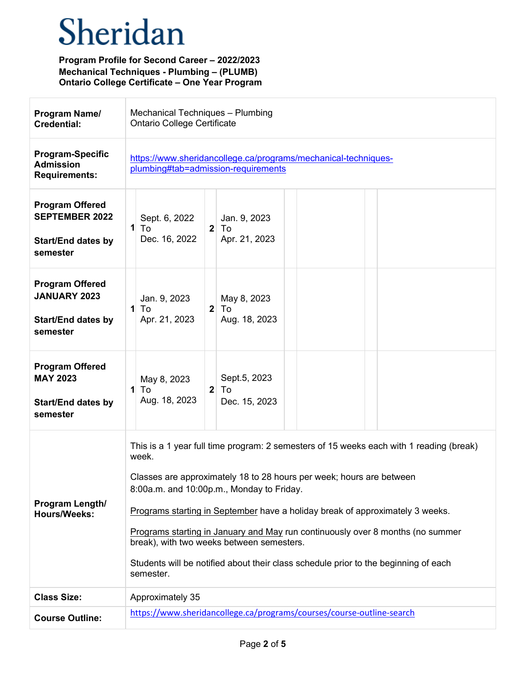| Program Name/<br><b>Credential:</b>                                                      | Mechanical Techniques - Plumbing<br><b>Ontario College Certificate</b>                                                                                                                                                                                                                                                                                                                                                                                                                                                                    |
|------------------------------------------------------------------------------------------|-------------------------------------------------------------------------------------------------------------------------------------------------------------------------------------------------------------------------------------------------------------------------------------------------------------------------------------------------------------------------------------------------------------------------------------------------------------------------------------------------------------------------------------------|
| <b>Program-Specific</b><br><b>Admission</b><br><b>Requirements:</b>                      | https://www.sheridancollege.ca/programs/mechanical-techniques-<br>plumbing#tab=admission-requirements                                                                                                                                                                                                                                                                                                                                                                                                                                     |
| <b>Program Offered</b><br><b>SEPTEMBER 2022</b><br><b>Start/End dates by</b><br>semester | Sept. 6, 2022<br>Jan. 9, 2023<br>$\mathbf{1}$<br>2 <sup>1</sup><br>To<br>To<br>Dec. 16, 2022<br>Apr. 21, 2023                                                                                                                                                                                                                                                                                                                                                                                                                             |
| <b>Program Offered</b><br><b>JANUARY 2023</b><br><b>Start/End dates by</b><br>semester   | Jan. 9, 2023<br>May 8, 2023<br>$\mathbf{1}$<br>2 <sub>1</sub><br>To<br>To<br>Aug. 18, 2023<br>Apr. 21, 2023                                                                                                                                                                                                                                                                                                                                                                                                                               |
| <b>Program Offered</b><br><b>MAY 2023</b><br><b>Start/End dates by</b><br>semester       | Sept.5, 2023<br>May 8, 2023<br>To<br>$\mathbf{1}$<br>2 <sup>1</sup><br>To<br>Aug. 18, 2023<br>Dec. 15, 2023                                                                                                                                                                                                                                                                                                                                                                                                                               |
| Program Length/<br><b>Hours/Weeks:</b>                                                   | This is a 1 year full time program: 2 semesters of 15 weeks each with 1 reading (break)<br>week.<br>Classes are approximately 18 to 28 hours per week; hours are between<br>8:00a.m. and 10:00p.m., Monday to Friday.<br>Programs starting in September have a holiday break of approximately 3 weeks.<br>Programs starting in January and May run continuously over 8 months (no summer<br>break), with two weeks between semesters.<br>Students will be notified about their class schedule prior to the beginning of each<br>semester. |
| <b>Class Size:</b>                                                                       | Approximately 35                                                                                                                                                                                                                                                                                                                                                                                                                                                                                                                          |
| <b>Course Outline:</b>                                                                   | https://www.sheridancollege.ca/programs/courses/course-outline-search                                                                                                                                                                                                                                                                                                                                                                                                                                                                     |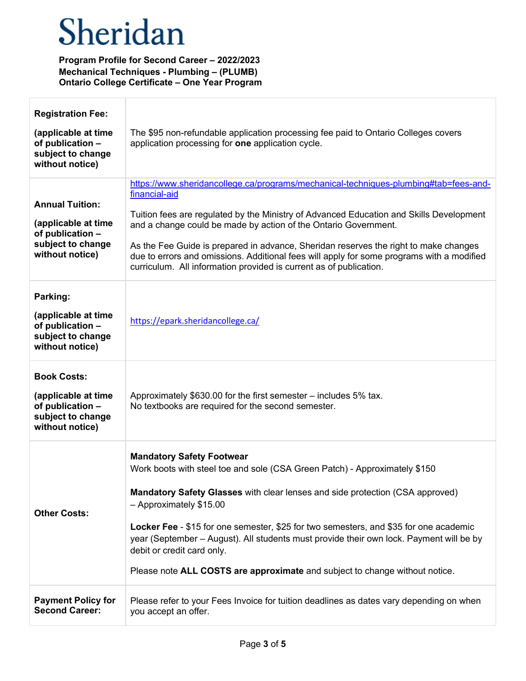| <b>Registration Fee:</b><br>(applicable at time<br>of publication -<br>subject to change<br>without notice) | The \$95 non-refundable application processing fee paid to Ontario Colleges covers<br>application processing for one application cycle.                                                                                                                                                                                                                                                                                                                                                                                        |
|-------------------------------------------------------------------------------------------------------------|--------------------------------------------------------------------------------------------------------------------------------------------------------------------------------------------------------------------------------------------------------------------------------------------------------------------------------------------------------------------------------------------------------------------------------------------------------------------------------------------------------------------------------|
| <b>Annual Tuition:</b><br>(applicable at time<br>of publication -<br>subject to change<br>without notice)   | https://www.sheridancollege.ca/programs/mechanical-techniques-plumbing#tab=fees-and-<br>financial-aid<br>Tuition fees are regulated by the Ministry of Advanced Education and Skills Development<br>and a change could be made by action of the Ontario Government.<br>As the Fee Guide is prepared in advance, Sheridan reserves the right to make changes<br>due to errors and omissions. Additional fees will apply for some programs with a modified<br>curriculum. All information provided is current as of publication. |
| Parking:<br>(applicable at time<br>of publication -<br>subject to change<br>without notice)                 | https://epark.sheridancollege.ca/                                                                                                                                                                                                                                                                                                                                                                                                                                                                                              |
| <b>Book Costs:</b><br>(applicable at time<br>of publication -<br>subject to change<br>without notice)       | Approximately \$630.00 for the first semester - includes 5% tax.<br>No textbooks are required for the second semester.                                                                                                                                                                                                                                                                                                                                                                                                         |
| <b>Other Costs:</b>                                                                                         | <b>Mandatory Safety Footwear</b><br>Work boots with steel toe and sole (CSA Green Patch) - Approximately \$150<br>Mandatory Safety Glasses with clear lenses and side protection (CSA approved)<br>- Approximately \$15.00<br>Locker Fee - \$15 for one semester, \$25 for two semesters, and \$35 for one academic<br>year (September – August). All students must provide their own lock. Payment will be by<br>debit or credit card only.<br>Please note ALL COSTS are approximate and subject to change without notice.    |
| <b>Payment Policy for</b><br><b>Second Career:</b>                                                          | Please refer to your Fees Invoice for tuition deadlines as dates vary depending on when<br>you accept an offer.                                                                                                                                                                                                                                                                                                                                                                                                                |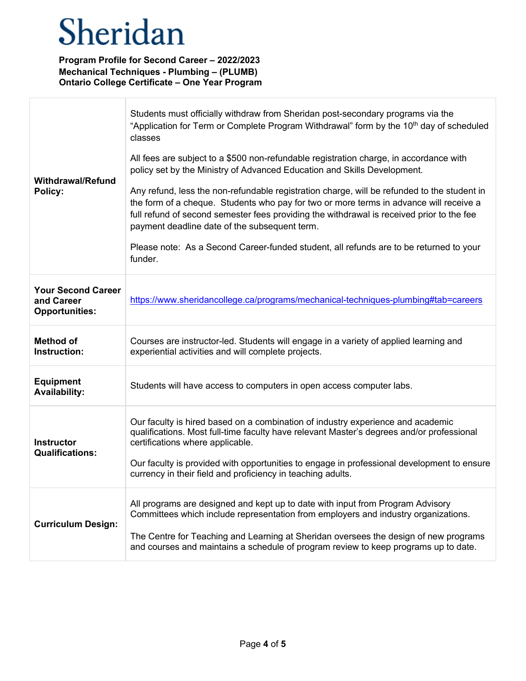$\overline{1}$ 

| <b>Withdrawal/Refund</b><br>Policy:                              | Students must officially withdraw from Sheridan post-secondary programs via the<br>"Application for Term or Complete Program Withdrawal" form by the 10 <sup>th</sup> day of scheduled<br>classes<br>All fees are subject to a \$500 non-refundable registration charge, in accordance with<br>policy set by the Ministry of Advanced Education and Skills Development.<br>Any refund, less the non-refundable registration charge, will be refunded to the student in<br>the form of a cheque. Students who pay for two or more terms in advance will receive a<br>full refund of second semester fees providing the withdrawal is received prior to the fee<br>payment deadline date of the subsequent term.<br>Please note: As a Second Career-funded student, all refunds are to be returned to your<br>funder. |
|------------------------------------------------------------------|---------------------------------------------------------------------------------------------------------------------------------------------------------------------------------------------------------------------------------------------------------------------------------------------------------------------------------------------------------------------------------------------------------------------------------------------------------------------------------------------------------------------------------------------------------------------------------------------------------------------------------------------------------------------------------------------------------------------------------------------------------------------------------------------------------------------|
| <b>Your Second Career</b><br>and Career<br><b>Opportunities:</b> | https://www.sheridancollege.ca/programs/mechanical-techniques-plumbing#tab=careers                                                                                                                                                                                                                                                                                                                                                                                                                                                                                                                                                                                                                                                                                                                                  |
| <b>Method of</b><br>Instruction:                                 | Courses are instructor-led. Students will engage in a variety of applied learning and<br>experiential activities and will complete projects.                                                                                                                                                                                                                                                                                                                                                                                                                                                                                                                                                                                                                                                                        |
| <b>Equipment</b><br><b>Availability:</b>                         | Students will have access to computers in open access computer labs.                                                                                                                                                                                                                                                                                                                                                                                                                                                                                                                                                                                                                                                                                                                                                |
| <b>Instructor</b><br><b>Qualifications:</b>                      | Our faculty is hired based on a combination of industry experience and academic<br>qualifications. Most full-time faculty have relevant Master's degrees and/or professional<br>certifications where applicable.<br>Our faculty is provided with opportunities to engage in professional development to ensure<br>currency in their field and proficiency in teaching adults.                                                                                                                                                                                                                                                                                                                                                                                                                                       |
| <b>Curriculum Design:</b>                                        | All programs are designed and kept up to date with input from Program Advisory<br>Committees which include representation from employers and industry organizations.<br>The Centre for Teaching and Learning at Sheridan oversees the design of new programs<br>and courses and maintains a schedule of program review to keep programs up to date.                                                                                                                                                                                                                                                                                                                                                                                                                                                                 |